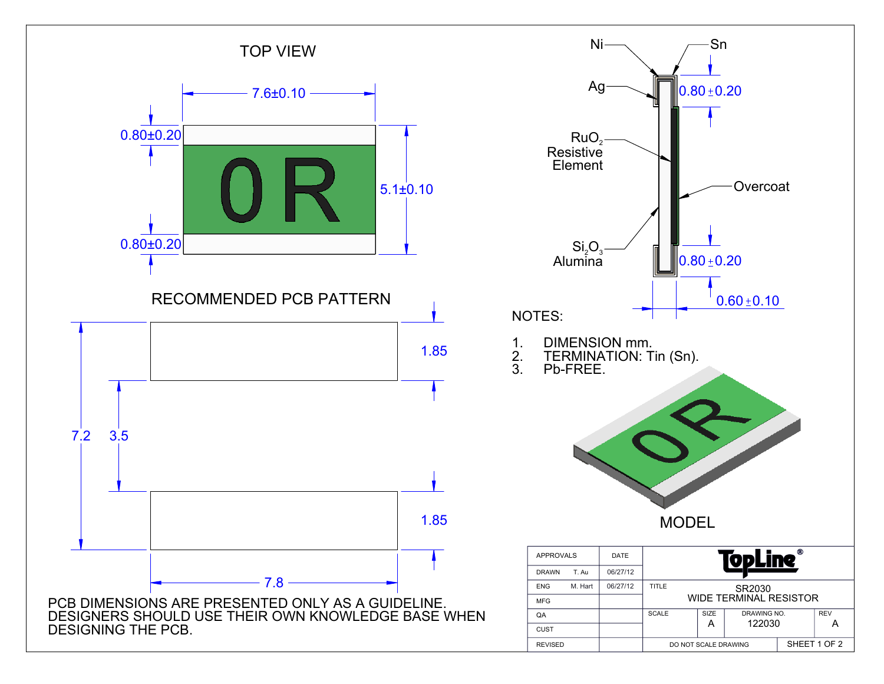